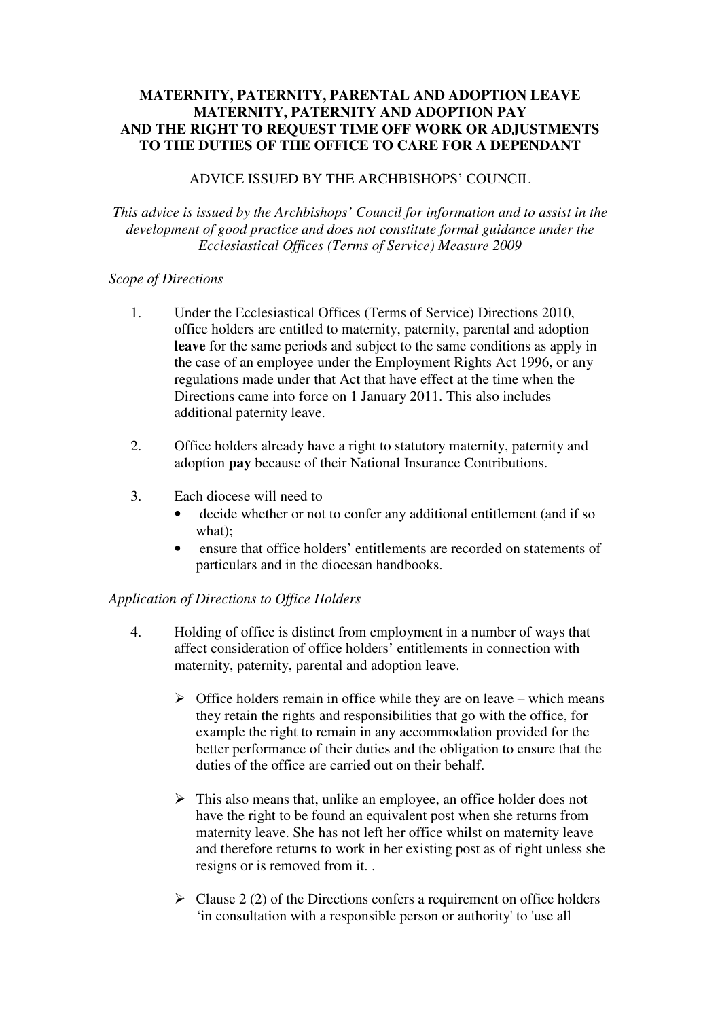# **MATERNITY, PATERNITY, PARENTAL AND ADOPTION LEAVE MATERNITY, PATERNITY AND ADOPTION PAY AND THE RIGHT TO REQUEST TIME OFF WORK OR ADJUSTMENTS TO THE DUTIES OF THE OFFICE TO CARE FOR A DEPENDANT**

#### ADVICE ISSUED BY THE ARCHBISHOPS' COUNCIL

*This advice is issued by the Archbishops' Council for information and to assist in the development of good practice and does not constitute formal guidance under the Ecclesiastical Offices (Terms of Service) Measure 2009* 

#### *Scope of Directions*

- 1. Under the Ecclesiastical Offices (Terms of Service) Directions 2010, office holders are entitled to maternity, paternity, parental and adoption **leave** for the same periods and subject to the same conditions as apply in the case of an employee under the Employment Rights Act 1996, or any regulations made under that Act that have effect at the time when the Directions came into force on 1 January 2011. This also includes additional paternity leave.
- 2. Office holders already have a right to statutory maternity, paternity and adoption **pay** because of their National Insurance Contributions.
- 3. Each diocese will need to
	- decide whether or not to confer any additional entitlement (and if so what);
	- ensure that office holders' entitlements are recorded on statements of particulars and in the diocesan handbooks.

# *Application of Directions to Office Holders*

- 4. Holding of office is distinct from employment in a number of ways that affect consideration of office holders' entitlements in connection with maternity, paternity, parental and adoption leave.
	- $\triangleright$  Office holders remain in office while they are on leave which means they retain the rights and responsibilities that go with the office, for example the right to remain in any accommodation provided for the better performance of their duties and the obligation to ensure that the duties of the office are carried out on their behalf.
	- $\triangleright$  This also means that, unlike an employee, an office holder does not have the right to be found an equivalent post when she returns from maternity leave. She has not left her office whilst on maternity leave and therefore returns to work in her existing post as of right unless she resigns or is removed from it. .
	- $\triangleright$  Clause 2 (2) of the Directions confers a requirement on office holders 'in consultation with a responsible person or authority' to 'use all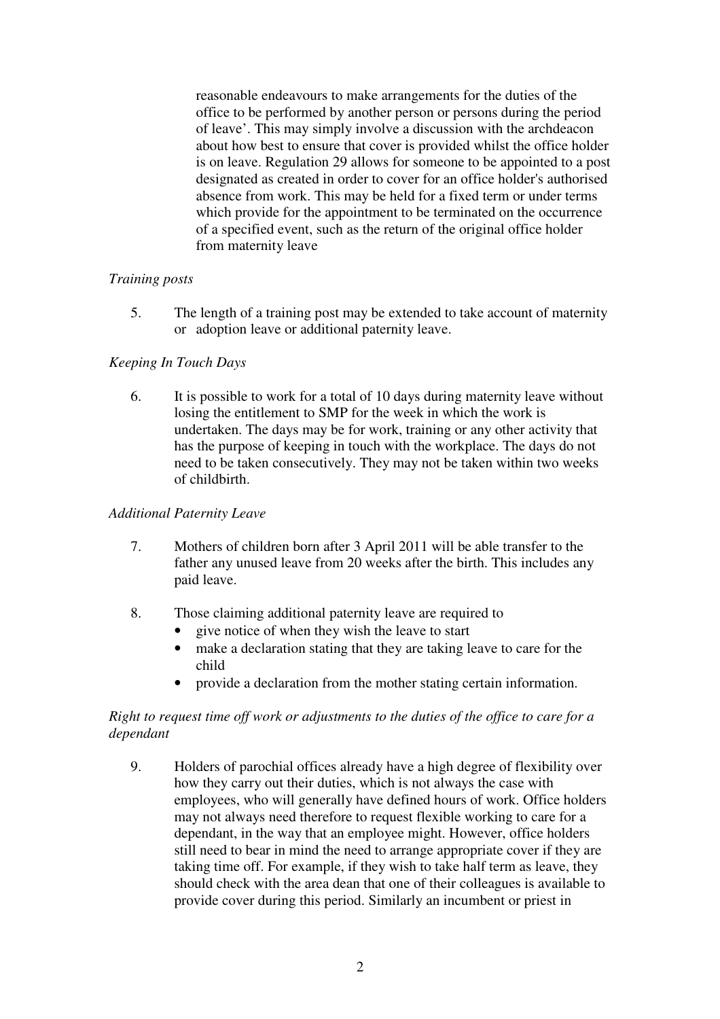reasonable endeavours to make arrangements for the duties of the office to be performed by another person or persons during the period of leave'. This may simply involve a discussion with the archdeacon about how best to ensure that cover is provided whilst the office holder is on leave. Regulation 29 allows for someone to be appointed to a post designated as created in order to cover for an office holder's authorised absence from work. This may be held for a fixed term or under terms which provide for the appointment to be terminated on the occurrence of a specified event, such as the return of the original office holder from maternity leave

# *Training posts*

5. The length of a training post may be extended to take account of maternity or adoption leave or additional paternity leave.

# *Keeping In Touch Days*

6. It is possible to work for a total of 10 days during maternity leave without losing the entitlement to SMP for the week in which the work is undertaken. The days may be for work, training or any other activity that has the purpose of keeping in touch with the workplace. The days do not need to be taken consecutively. They may not be taken within two weeks of childbirth.

#### *Additional Paternity Leave*

- 7. Mothers of children born after 3 April 2011 will be able transfer to the father any unused leave from 20 weeks after the birth. This includes any paid leave.
- 8. Those claiming additional paternity leave are required to
	- give notice of when they wish the leave to start
	- make a declaration stating that they are taking leave to care for the child
	- provide a declaration from the mother stating certain information.

# *Right to request time off work or adjustments to the duties of the office to care for a dependant*

9. Holders of parochial offices already have a high degree of flexibility over how they carry out their duties, which is not always the case with employees, who will generally have defined hours of work. Office holders may not always need therefore to request flexible working to care for a dependant, in the way that an employee might. However, office holders still need to bear in mind the need to arrange appropriate cover if they are taking time off. For example, if they wish to take half term as leave, they should check with the area dean that one of their colleagues is available to provide cover during this period. Similarly an incumbent or priest in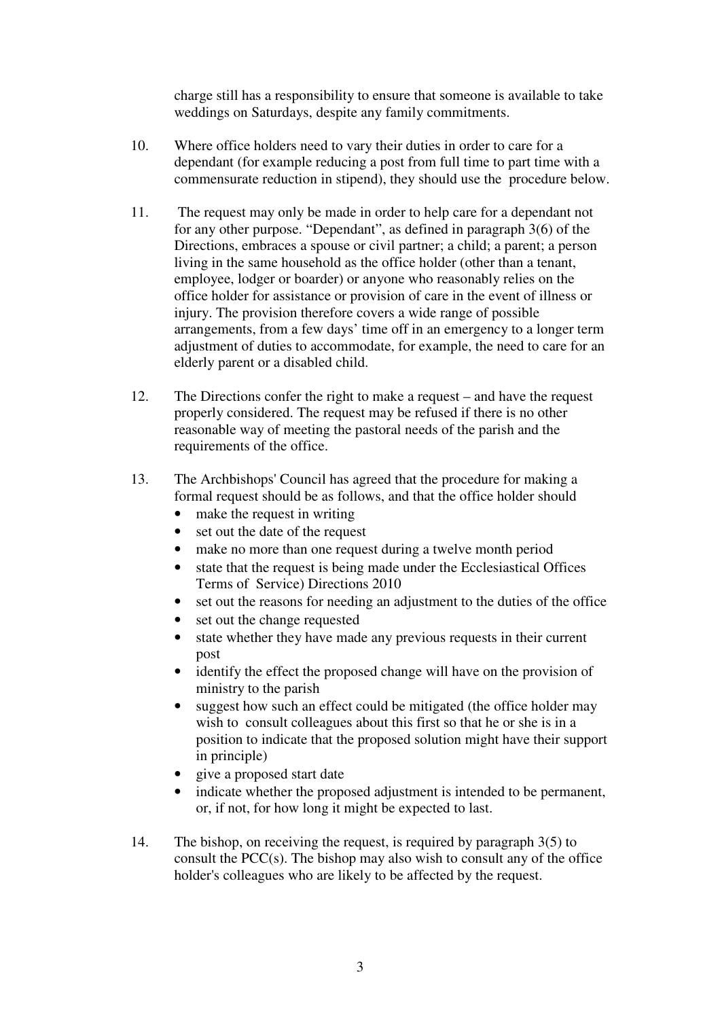charge still has a responsibility to ensure that someone is available to take weddings on Saturdays, despite any family commitments.

- 10. Where office holders need to vary their duties in order to care for a dependant (for example reducing a post from full time to part time with a commensurate reduction in stipend), they should use the procedure below.
- 11. The request may only be made in order to help care for a dependant not for any other purpose. "Dependant", as defined in paragraph 3(6) of the Directions, embraces a spouse or civil partner; a child; a parent; a person living in the same household as the office holder (other than a tenant, employee, lodger or boarder) or anyone who reasonably relies on the office holder for assistance or provision of care in the event of illness or injury. The provision therefore covers a wide range of possible arrangements, from a few days' time off in an emergency to a longer term adjustment of duties to accommodate, for example, the need to care for an elderly parent or a disabled child.
- 12. The Directions confer the right to make a request and have the request properly considered. The request may be refused if there is no other reasonable way of meeting the pastoral needs of the parish and the requirements of the office.
- 13. The Archbishops' Council has agreed that the procedure for making a formal request should be as follows, and that the office holder should
	- make the request in writing
	- set out the date of the request
	- make no more than one request during a twelve month period
	- state that the request is being made under the Ecclesiastical Offices Terms of Service) Directions 2010
	- set out the reasons for needing an adjustment to the duties of the office
	- set out the change requested
	- state whether they have made any previous requests in their current post
	- identify the effect the proposed change will have on the provision of ministry to the parish
	- suggest how such an effect could be mitigated (the office holder may wish to consult colleagues about this first so that he or she is in a position to indicate that the proposed solution might have their support in principle)
	- give a proposed start date
	- indicate whether the proposed adjustment is intended to be permanent, or, if not, for how long it might be expected to last.
- 14. The bishop, on receiving the request, is required by paragraph 3(5) to consult the PCC(s). The bishop may also wish to consult any of the office holder's colleagues who are likely to be affected by the request.